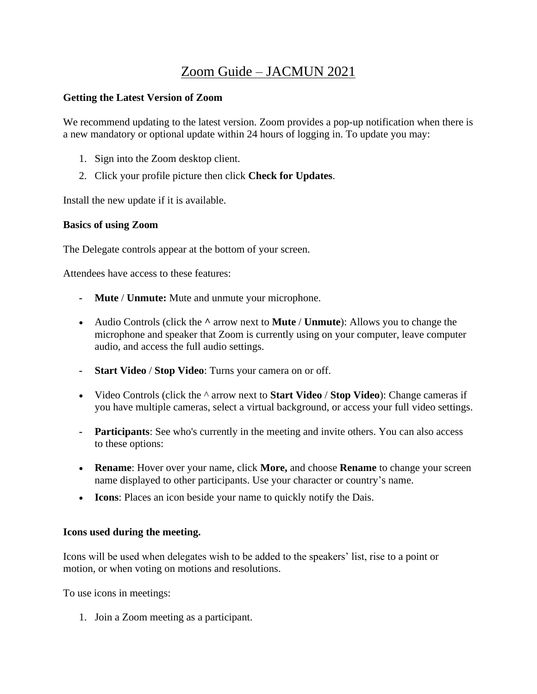# Zoom Guide – JACMUN 2021

### **Getting the Latest Version of Zoom**

We recommend updating to the latest version. Zoom provides a pop-up notification when there is a new mandatory or optional update within 24 hours of logging in. To update you may:

- 1. Sign into the Zoom desktop client.
- 2. Click your profile picture then click **Check for Updates**.

Install the new update if it is available.

### **Basics of using Zoom**

The Delegate controls appear at the bottom of your screen.

Attendees have access to these features:

- **- Mute** / **Unmute:** Mute and unmute your microphone.
- Audio Controls (click the **^** arrow next to **Mute** / **Unmute**): Allows you to change the microphone and speaker that Zoom is currently using on your computer, leave computer audio, and access the full audio settings.
- **- Start Video** / **Stop Video**: Turns your camera on or off.
- Video Controls (click the ^ arrow next to **Start Video** / **Stop Video**): Change cameras if you have multiple cameras, select a virtual background, or access your full video settings.
- **- Participants**: See who's currently in the meeting and invite others. You can also access to these options:
- **Rename**: Hover over your name, click **More,** and choose **Rename** to change your screen name displayed to other participants. Use your character or country's name.
- **Icons**: Places an icon beside your name to quickly notify the Dais.

#### **Icons used during the meeting.**

Icons will be used when delegates wish to be added to the speakers' list, rise to a point or motion, or when voting on motions and resolutions.

To use icons in meetings:

1. Join a Zoom meeting as a participant.